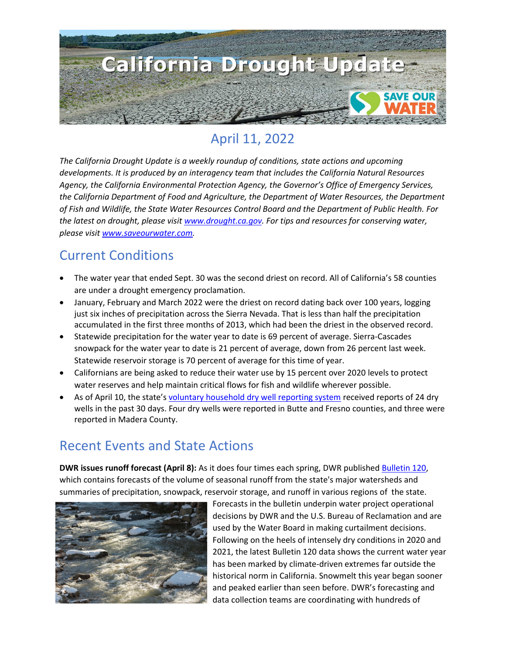

## April 11, 2022

*The California Drought Update is a weekly roundup of conditions, state actions and upcoming developments. It is produced by an interagency team that includes the California Natural Resources Agency, the California Environmental Protection Agency, the Governor's Office of Emergency Services, the California Department of Food and Agriculture, the Department of Water Resources, the Department of Fish and Wildlife, the State Water Resources Control Board and the Department of Public Health. For the latest on drought, please visit [www.drought.ca.gov.](http://www.drought.ca.gov/) For tips and resources for conserving water, please visit [www.saveourwater.com.](http://www.saveourwater.com/)*

### Current Conditions

- The water year that ended Sept. 30 was the second driest on record. All of California's 58 counties are under a drought emergency proclamation.
- January, February and March 2022 were the driest on record dating back over 100 years, logging just six inches of precipitation across the Sierra Nevada. That is less than half the precipitation accumulated in the first three months of 2013, which had been the driest in the observed record.
- Statewide precipitation for the water year to date is 69 percent of average. Sierra-Cascades snowpack for the water year to date is 21 percent of average, down from 26 percent last week. Statewide reservoir storage is 70 percent of average for this time of year.
- Californians are being asked to reduce their water use by 15 percent over 2020 levels to protect water reserves and help maintain critical flows for fish and wildlife wherever possible.
- As of April 10, the state's [voluntary household dry well reporting system](https://mydrywell.water.ca.gov/report/) received reports of 24 dry wells in the past 30 days. Four dry wells were reported in Butte and Fresno counties, and three were reported in Madera County.

### Recent Events and State Actions

**DWR issues runoff forecast (April 8):** As it does four times each spring, DWR published [Bulletin 120,](https://cdec.water.ca.gov/snow/bulletin120/) which contains forecasts of the volume of seasonal runoff from the state's major watersheds and summaries of precipitation, snowpack, reservoir storage, and runoff in various regions of the state.



Forecasts in the bulletin underpin water project operational decisions by DWR and the U.S. Bureau of Reclamation and are used by the Water Board in making curtailment decisions. Following on the heels of intensely dry conditions in 2020 and 2021, the latest Bulletin 120 data shows the current water year has been marked by climate-driven extremes far outside the historical norm in California. Snowmelt this year began sooner and peaked earlier than seen before. DWR's forecasting and data collection teams are coordinating with hundreds of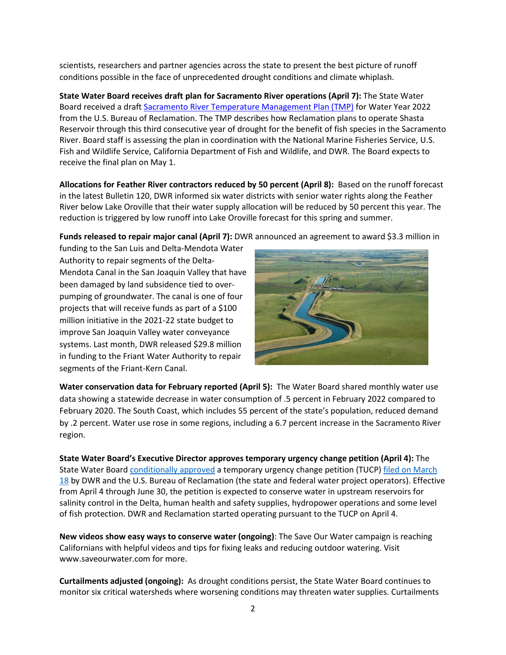scientists, researchers and partner agencies across the state to present the best picture of runoff conditions possible in the face of unprecedented drought conditions and climate whiplash.

**State Water Board receives draft plan for Sacramento River operations (April 7):** The State Water Board received a draft [Sacramento River Temperature Management Plan \(TMP\)](https://www.waterboards.ca.gov/drought/sacramento_river/docs/draft2022-sacramento-river-temperature-management-plan-April6.pdf) for Water Year 2022 from the U.S. Bureau of Reclamation. The TMP describes how Reclamation plans to operate Shasta Reservoir through this third consecutive year of drought for the benefit of fish species in the Sacramento River. Board staff is assessing the plan in coordination with the National Marine Fisheries Service, U.S. Fish and Wildlife Service, California Department of Fish and Wildlife, and DWR. The Board expects to receive the final plan on May 1.

**Allocations for Feather River contractors reduced by 50 percent (April 8):** Based on the runoff forecast in the latest Bulletin 120, DWR informed six water districts with senior water rights along the Feather River below Lake Oroville that their water supply allocation will be reduced by 50 percent this year. The reduction is triggered by low runoff into Lake Oroville forecast for this spring and summer.

**Funds released to repair major canal (April 7):** DWR announced an agreement to award \$3.3 million in

funding to the San Luis and Delta-Mendota Water Authority to repair segments of the Delta-Mendota Canal in the San Joaquin Valley that have been damaged by land subsidence tied to overpumping of groundwater. The canal is one of four projects that will receive funds as part of a \$100 million initiative in the 2021-22 state budget to improve San Joaquin Valley water conveyance systems. Last month, DWR released \$29.8 million in funding to the Friant Water Authority to repair segments of the Friant-Kern Canal.



**Water conservation data for February reported (April 5):** The Water Board shared monthly water use data showing a statewide decrease in water consumption of .5 percent in February 2022 compared to February 2020. The South Coast, which includes 55 percent of the state's population, reduced demand by .2 percent. Water use rose in some regions, including a 6.7 percent increase in the Sacramento River region.

**State Water Board's Executive Director approves temporary urgency change petition (April 4):** The State Water Board [conditionally approved](https://waterboards.ca.gov/drought/tucp/docs/2022/20220404_tuco_swrcb.pdf) a temporary urgency change petition (TUCP) filed on March [18](https://www.waterboards.ca.gov/waterrights/water_issues/programs/applications/transfers_tu_notices/2022/20220318_tucpnotice.pdf) by DWR and the U.S. Bureau of Reclamation (the state and federal water project operators). Effective from April 4 through June 30, the petition is expected to conserve water in upstream reservoirs for salinity control in the Delta, human health and safety supplies, hydropower operations and some level of fish protection. DWR and Reclamation started operating pursuant to the TUCP on April 4.

**New videos show easy ways to conserve water (ongoing)**: The Save Our Water campaign is reaching Californians with helpful videos and tips for fixing leaks and reducing outdoor watering. Visit www.saveourwater.com for more.

**Curtailments adjusted (ongoing):** As drought conditions persist, the State Water Board continues to monitor six critical watersheds where worsening conditions may threaten water supplies. Curtailments